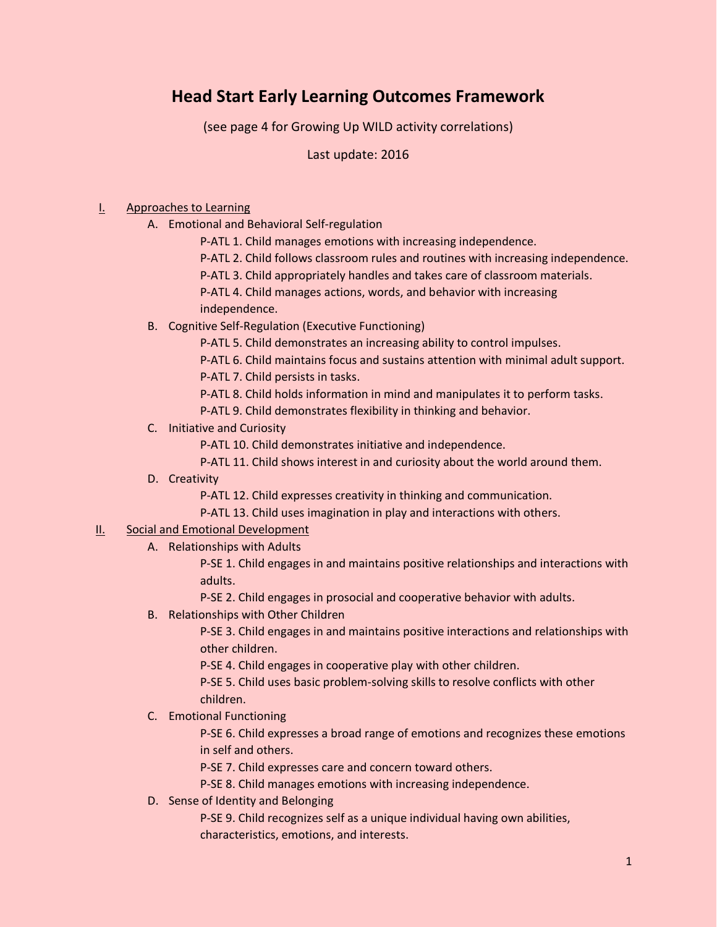# **Head Start Early Learning Outcomes Framework**

(see page 4 for Growing Up WILD activity correlations)

Last update: 2016

#### I. Approaches to Learning

- A. Emotional and Behavioral Self-regulation
	- P-ATL 1. Child manages emotions with increasing independence.
	- P-ATL 2. Child follows classroom rules and routines with increasing independence.
	- P-ATL 3. Child appropriately handles and takes care of classroom materials.

P-ATL 4. Child manages actions, words, and behavior with increasing

- independence.
- B. Cognitive Self-Regulation (Executive Functioning)
	- P-ATL 5. Child demonstrates an increasing ability to control impulses.
	- P-ATL 6. Child maintains focus and sustains attention with minimal adult support.
	- P-ATL 7. Child persists in tasks.
	- P-ATL 8. Child holds information in mind and manipulates it to perform tasks.
	- P-ATL 9. Child demonstrates flexibility in thinking and behavior.
- C. Initiative and Curiosity
	- P-ATL 10. Child demonstrates initiative and independence.
	- P-ATL 11. Child shows interest in and curiosity about the world around them.
- D. Creativity
	- P-ATL 12. Child expresses creativity in thinking and communication.
	- P-ATL 13. Child uses imagination in play and interactions with others.

#### **II.** Social and Emotional Development

A. Relationships with Adults

P-SE 1. Child engages in and maintains positive relationships and interactions with adults.

P-SE 2. Child engages in prosocial and cooperative behavior with adults.

B. Relationships with Other Children

P-SE 3. Child engages in and maintains positive interactions and relationships with other children.

P-SE 4. Child engages in cooperative play with other children.

P-SE 5. Child uses basic problem-solving skills to resolve conflicts with other children.

### C. Emotional Functioning

P-SE 6. Child expresses a broad range of emotions and recognizes these emotions in self and others.

P-SE 7. Child expresses care and concern toward others.

P-SE 8. Child manages emotions with increasing independence.

D. Sense of Identity and Belonging

P-SE 9. Child recognizes self as a unique individual having own abilities, characteristics, emotions, and interests.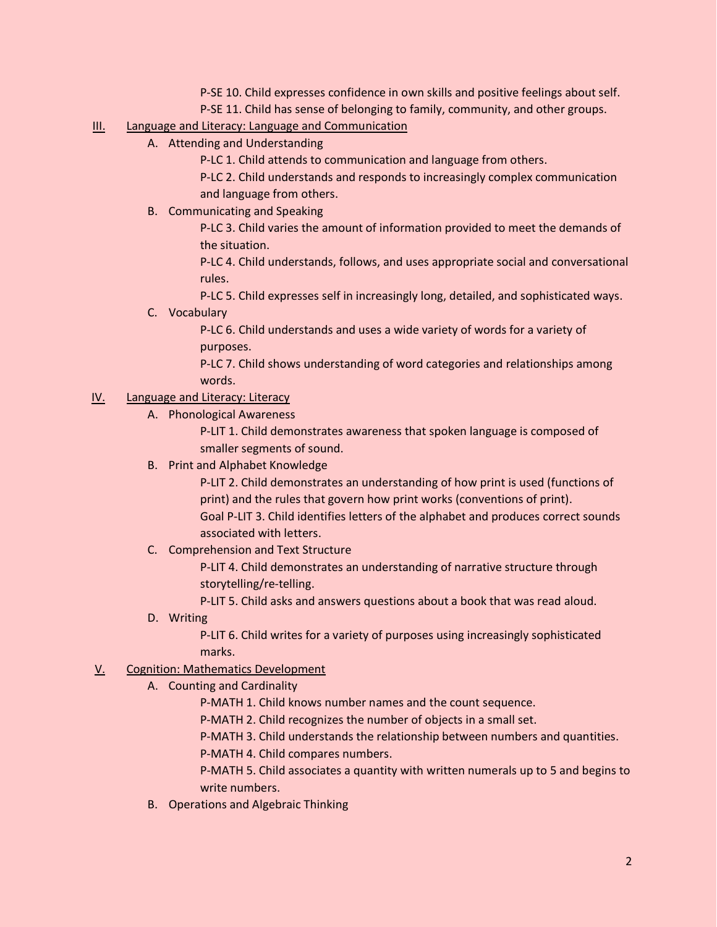- P-SE 10. Child expresses confidence in own skills and positive feelings about self.
- P-SE 11. Child has sense of belonging to family, community, and other groups.

### III. Language and Literacy: Language and Communication

- A. Attending and Understanding
	- P-LC 1. Child attends to communication and language from others.

P-LC 2. Child understands and responds to increasingly complex communication and language from others.

B. Communicating and Speaking

P-LC 3. Child varies the amount of information provided to meet the demands of the situation.

P-LC 4. Child understands, follows, and uses appropriate social and conversational rules.

P-LC 5. Child expresses self in increasingly long, detailed, and sophisticated ways.

#### C. Vocabulary

P-LC 6. Child understands and uses a wide variety of words for a variety of purposes.

P-LC 7. Child shows understanding of word categories and relationships among words.

### IV. Language and Literacy: Literacy

A. Phonological Awareness

P-LIT 1. Child demonstrates awareness that spoken language is composed of smaller segments of sound.

B. Print and Alphabet Knowledge

P-LIT 2. Child demonstrates an understanding of how print is used (functions of print) and the rules that govern how print works (conventions of print). Goal P-LIT 3. Child identifies letters of the alphabet and produces correct sounds associated with letters.

C. Comprehension and Text Structure

P-LIT 4. Child demonstrates an understanding of narrative structure through storytelling/re-telling.

P-LIT 5. Child asks and answers questions about a book that was read aloud.

D. Writing

P-LIT 6. Child writes for a variety of purposes using increasingly sophisticated marks.

## V. Cognition: Mathematics Development

A. Counting and Cardinality

P-MATH 1. Child knows number names and the count sequence.

P-MATH 2. Child recognizes the number of objects in a small set.

P-MATH 3. Child understands the relationship between numbers and quantities.

P-MATH 4. Child compares numbers.

P-MATH 5. Child associates a quantity with written numerals up to 5 and begins to write numbers.

B. Operations and Algebraic Thinking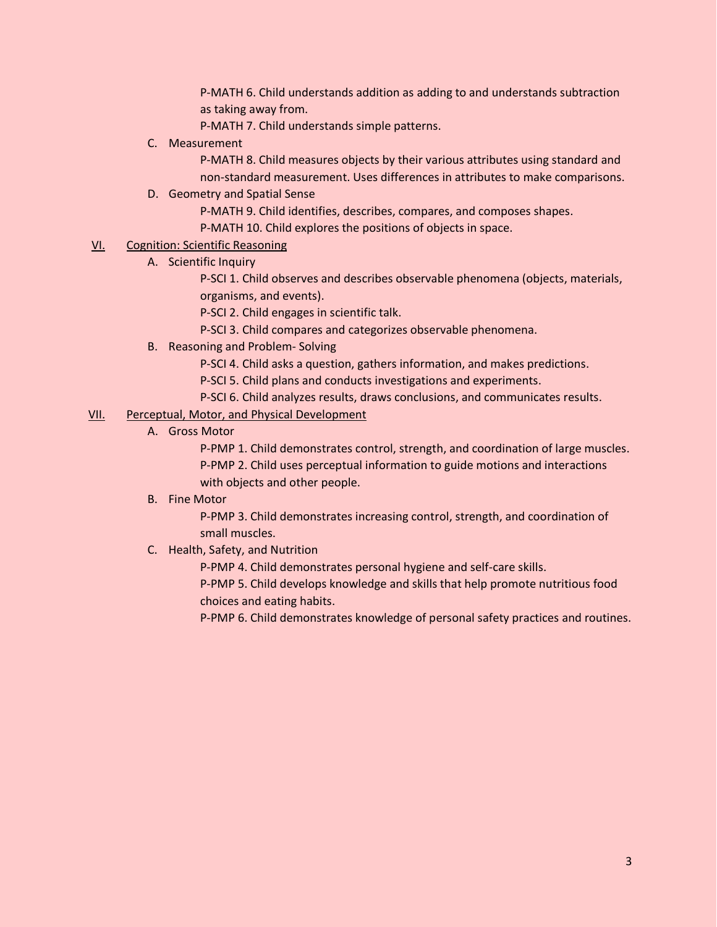P-MATH 6. Child understands addition as adding to and understands subtraction as taking away from.

P-MATH 7. Child understands simple patterns.

C. Measurement

P-MATH 8. Child measures objects by their various attributes using standard and non-standard measurement. Uses differences in attributes to make comparisons.

### D. Geometry and Spatial Sense

P-MATH 9. Child identifies, describes, compares, and composes shapes.

P-MATH 10. Child explores the positions of objects in space.

### VI. Cognition: Scientific Reasoning

A. Scientific Inquiry

P-SCI 1. Child observes and describes observable phenomena (objects, materials, organisms, and events).

P-SCI 2. Child engages in scientific talk.

P-SCI 3. Child compares and categorizes observable phenomena.

- B. Reasoning and Problem- Solving
	- P-SCI 4. Child asks a question, gathers information, and makes predictions.
	- P-SCI 5. Child plans and conducts investigations and experiments.
	- P-SCI 6. Child analyzes results, draws conclusions, and communicates results.

#### VII. Perceptual, Motor, and Physical Development

A. Gross Motor

P-PMP 1. Child demonstrates control, strength, and coordination of large muscles. P-PMP 2. Child uses perceptual information to guide motions and interactions with objects and other people.

B. Fine Motor

P-PMP 3. Child demonstrates increasing control, strength, and coordination of small muscles.

C. Health, Safety, and Nutrition

P-PMP 4. Child demonstrates personal hygiene and self-care skills.

P-PMP 5. Child develops knowledge and skills that help promote nutritious food choices and eating habits.

P-PMP 6. Child demonstrates knowledge of personal safety practices and routines.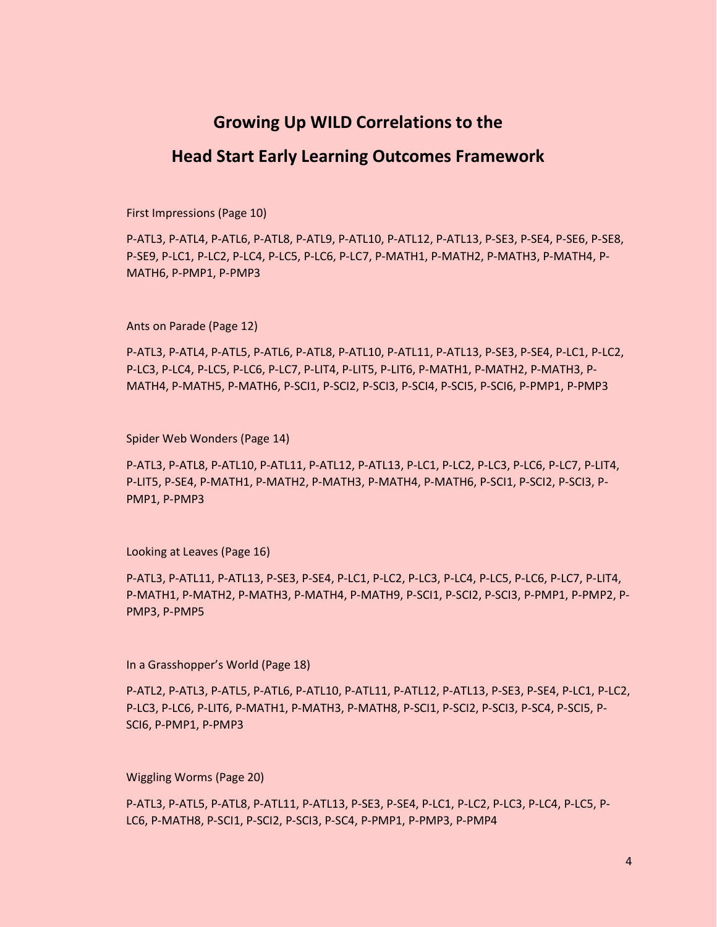## **Growing Up WILD Correlations to the**

## **Head Start Early Learning Outcomes Framework**

First Impressions (Page 10)

P-ATL3, P-ATL4, P-ATL6, P-ATL8, P-ATL9, P-ATL10, P-ATL12, P-ATL13, P-SE3, P-SE4, P-SE6, P-SE8, P-SE9, P-LC1, P-LC2, P-LC4, P-LC5, P-LC6, P-LC7, P-MATH1, P-MATH2, P-MATH3, P-MATH4, P-MATH6, P-PMP1, P-PMP3

Ants on Parade (Page 12)

P-ATL3, P-ATL4, P-ATL5, P-ATL6, P-ATL8, P-ATL10, P-ATL11, P-ATL13, P-SE3, P-SE4, P-LC1, P-LC2, P-LC3, P-LC4, P-LC5, P-LC6, P-LC7, P-LIT4, P-LIT5, P-LIT6, P-MATH1, P-MATH2, P-MATH3, P-MATH4, P-MATH5, P-MATH6, P-SCI1, P-SCI2, P-SCI3, P-SCI4, P-SCI5, P-SCI6, P-PMP1, P-PMP3

Spider Web Wonders (Page 14)

P-ATL3, P-ATL8, P-ATL10, P-ATL11, P-ATL12, P-ATL13, P-LC1, P-LC2, P-LC3, P-LC6, P-LC7, P-LIT4, P-LIT5, P-SE4, P-MATH1, P-MATH2, P-MATH3, P-MATH4, P-MATH6, P-SCI1, P-SCI2, P-SCI3, P-PMP1, P-PMP3

Looking at Leaves (Page 16)

P-ATL3, P-ATL11, P-ATL13, P-SE3, P-SE4, P-LC1, P-LC2, P-LC3, P-LC4, P-LC5, P-LC6, P-LC7, P-LIT4, P-MATH1, P-MATH2, P-MATH3, P-MATH4, P-MATH9, P-SCI1, P-SCI2, P-SCI3, P-PMP1, P-PMP2, P-PMP3, P-PMP5

In a Grasshopper's World (Page 18)

P-ATL2, P-ATL3, P-ATL5, P-ATL6, P-ATL10, P-ATL11, P-ATL12, P-ATL13, P-SE3, P-SE4, P-LC1, P-LC2, P-LC3, P-LC6, P-LIT6, P-MATH1, P-MATH3, P-MATH8, P-SCI1, P-SCI2, P-SCI3, P-SC4, P-SCI5, P-SCI6, P-PMP1, P-PMP3

Wiggling Worms (Page 20)

P-ATL3, P-ATL5, P-ATL8, P-ATL11, P-ATL13, P-SE3, P-SE4, P-LC1, P-LC2, P-LC3, P-LC4, P-LC5, P-LC6, P-MATH8, P-SCI1, P-SCI2, P-SCI3, P-SC4, P-PMP1, P-PMP3, P-PMP4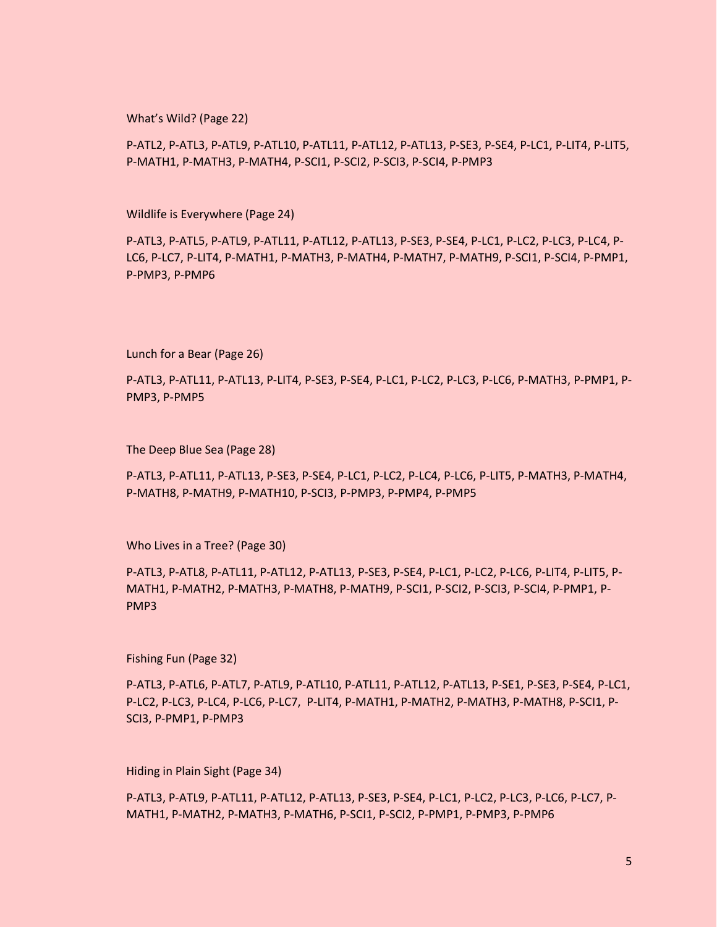What's Wild? (Page 22)

P-ATL2, P-ATL3, P-ATL9, P-ATL10, P-ATL11, P-ATL12, P-ATL13, P-SE3, P-SE4, P-LC1, P-LIT4, P-LIT5, P-MATH1, P-MATH3, P-MATH4, P-SCI1, P-SCI2, P-SCI3, P-SCI4, P-PMP3

Wildlife is Everywhere (Page 24)

P-ATL3, P-ATL5, P-ATL9, P-ATL11, P-ATL12, P-ATL13, P-SE3, P-SE4, P-LC1, P-LC2, P-LC3, P-LC4, P-LC6, P-LC7, P-LIT4, P-MATH1, P-MATH3, P-MATH4, P-MATH7, P-MATH9, P-SCI1, P-SCI4, P-PMP1, P-PMP3, P-PMP6

Lunch for a Bear (Page 26)

P-ATL3, P-ATL11, P-ATL13, P-LIT4, P-SE3, P-SE4, P-LC1, P-LC2, P-LC3, P-LC6, P-MATH3, P-PMP1, P-PMP3, P-PMP5

The Deep Blue Sea (Page 28)

P-ATL3, P-ATL11, P-ATL13, P-SE3, P-SE4, P-LC1, P-LC2, P-LC4, P-LC6, P-LIT5, P-MATH3, P-MATH4, P-MATH8, P-MATH9, P-MATH10, P-SCI3, P-PMP3, P-PMP4, P-PMP5

Who Lives in a Tree? (Page 30)

P-ATL3, P-ATL8, P-ATL11, P-ATL12, P-ATL13, P-SE3, P-SE4, P-LC1, P-LC2, P-LC6, P-LIT4, P-LIT5, P-MATH1, P-MATH2, P-MATH3, P-MATH8, P-MATH9, P-SCI1, P-SCI2, P-SCI3, P-SCI4, P-PMP1, P-PMP3

Fishing Fun (Page 32)

P-ATL3, P-ATL6, P-ATL7, P-ATL9, P-ATL10, P-ATL11, P-ATL12, P-ATL13, P-SE1, P-SE3, P-SE4, P-LC1, P-LC2, P-LC3, P-LC4, P-LC6, P-LC7, P-LIT4, P-MATH1, P-MATH2, P-MATH3, P-MATH8, P-SCI1, P-SCI3, P-PMP1, P-PMP3

Hiding in Plain Sight (Page 34)

P-ATL3, P-ATL9, P-ATL11, P-ATL12, P-ATL13, P-SE3, P-SE4, P-LC1, P-LC2, P-LC3, P-LC6, P-LC7, P-MATH1, P-MATH2, P-MATH3, P-MATH6, P-SCI1, P-SCI2, P-PMP1, P-PMP3, P-PMP6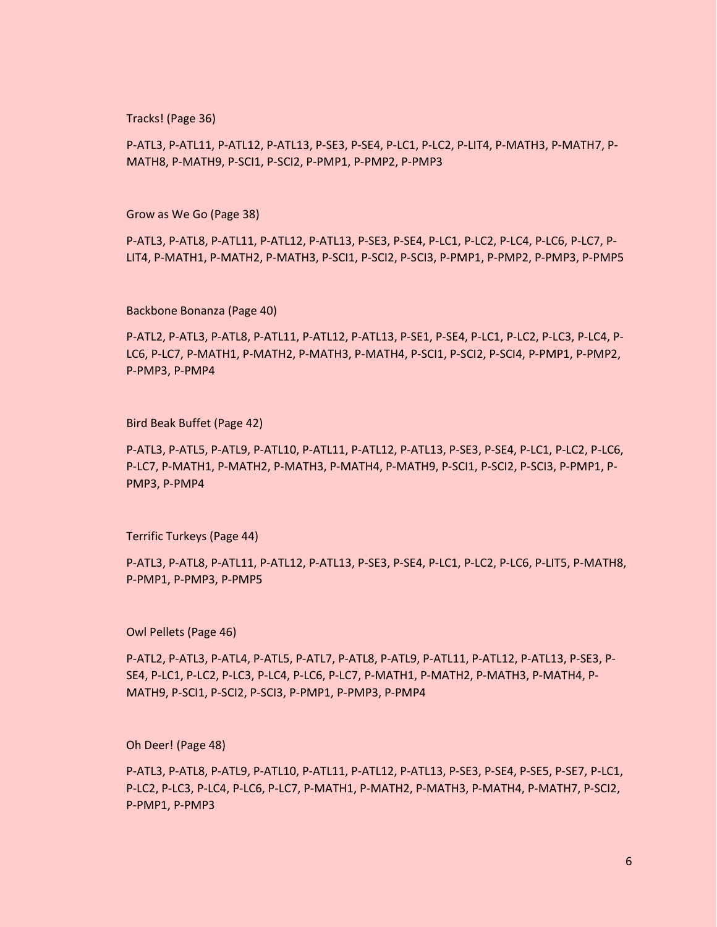Tracks! (Page 36)

P-ATL3, P-ATL11, P-ATL12, P-ATL13, P-SE3, P-SE4, P-LC1, P-LC2, P-LIT4, P-MATH3, P-MATH7, P-MATH8, P-MATH9, P-SCI1, P-SCI2, P-PMP1, P-PMP2, P-PMP3

Grow as We Go (Page 38)

P-ATL3, P-ATL8, P-ATL11, P-ATL12, P-ATL13, P-SE3, P-SE4, P-LC1, P-LC2, P-LC4, P-LC6, P-LC7, P-LIT4, P-MATH1, P-MATH2, P-MATH3, P-SCI1, P-SCI2, P-SCI3, P-PMP1, P-PMP2, P-PMP3, P-PMP5

Backbone Bonanza (Page 40)

P-ATL2, P-ATL3, P-ATL8, P-ATL11, P-ATL12, P-ATL13, P-SE1, P-SE4, P-LC1, P-LC2, P-LC3, P-LC4, P-LC6, P-LC7, P-MATH1, P-MATH2, P-MATH3, P-MATH4, P-SCI1, P-SCI2, P-SCI4, P-PMP1, P-PMP2, P-PMP3, P-PMP4

Bird Beak Buffet (Page 42)

P-ATL3, P-ATL5, P-ATL9, P-ATL10, P-ATL11, P-ATL12, P-ATL13, P-SE3, P-SE4, P-LC1, P-LC2, P-LC6, P-LC7, P-MATH1, P-MATH2, P-MATH3, P-MATH4, P-MATH9, P-SCI1, P-SCI2, P-SCI3, P-PMP1, P-PMP3, P-PMP4

Terrific Turkeys (Page 44)

P-ATL3, P-ATL8, P-ATL11, P-ATL12, P-ATL13, P-SE3, P-SE4, P-LC1, P-LC2, P-LC6, P-LIT5, P-MATH8, P-PMP1, P-PMP3, P-PMP5

Owl Pellets (Page 46)

P-ATL2, P-ATL3, P-ATL4, P-ATL5, P-ATL7, P-ATL8, P-ATL9, P-ATL11, P-ATL12, P-ATL13, P-SE3, P-SE4, P-LC1, P-LC2, P-LC3, P-LC4, P-LC6, P-LC7, P-MATH1, P-MATH2, P-MATH3, P-MATH4, P-MATH9, P-SCI1, P-SCI2, P-SCI3, P-PMP1, P-PMP3, P-PMP4

Oh Deer! (Page 48)

P-ATL3, P-ATL8, P-ATL9, P-ATL10, P-ATL11, P-ATL12, P-ATL13, P-SE3, P-SE4, P-SE5, P-SE7, P-LC1, P-LC2, P-LC3, P-LC4, P-LC6, P-LC7, P-MATH1, P-MATH2, P-MATH3, P-MATH4, P-MATH7, P-SCI2, P-PMP1, P-PMP3